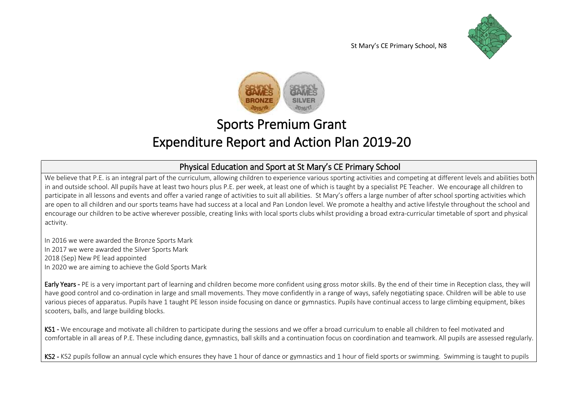



# Sports Premium Grant Expenditure Report and Action Plan 2019-20

## Physical Education and Sport at St Mary's CE Primary School

We believe that P.E. is an integral part of the curriculum, allowing children to experience various sporting activities and competing at different levels and abilities both in and outside school. All pupils have at least two hours plus P.E. per week, at least one of which is taught by a specialist PE Teacher. We encourage all children to participate in all lessons and events and offer a varied range of activities to suit all abilities. St Mary's offers a large number of after school sporting activities which are open to all children and our sports teams have had success at a local and Pan London level. We promote a healthy and active lifestyle throughout the school and encourage our children to be active wherever possible, creating links with local sports clubs whilst providing a broad extra-curricular timetable of sport and physical activity.

In 2016 we were awarded the Bronze Sports Mark In 2017 we were awarded the Silver Sports Mark 2018 (Sep) New PE lead appointed In 2020 we are aiming to achieve the Gold Sports Mark

Early Years - PE is a very important part of learning and children become more confident using gross motor skills. By the end of their time in Reception class, they will have good control and co-ordination in large and small movements. They move confidently in a range of ways, safely negotiating space. Children will be able to use various pieces of apparatus. Pupils have 1 taught PE lesson inside focusing on dance or gymnastics. Pupils have continual access to large climbing equipment, bikes scooters, balls, and large building blocks.

KS1 - We encourage and motivate all children to participate during the sessions and we offer a broad curriculum to enable all children to feel motivated and comfortable in all areas of P.E. These including dance, gymnastics, ball skills and a continuation focus on coordination and teamwork. All pupils are assessed regularly.

KS2 - KS2 pupils follow an annual cycle which ensures they have 1 hour of dance or gymnastics and 1 hour of field sports or swimming. Swimming is taught to pupils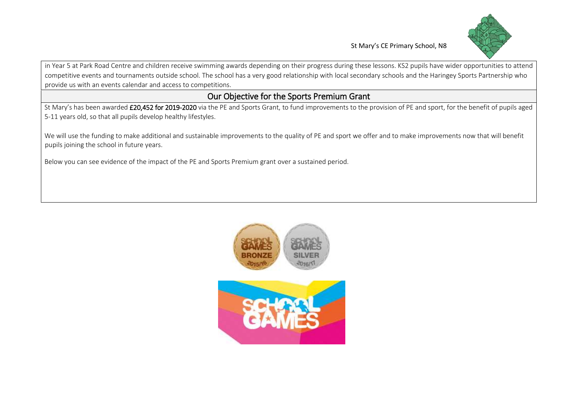

in Year 5 at Park Road Centre and children receive swimming awards depending on their progress during these lessons. KS2 pupils have wider opportunities to attend competitive events and tournaments outside school. The school has a very good relationship with local secondary schools and the Haringey Sports Partnership who provide us with an events calendar and access to competitions.

### Our Objective for the Sports Premium Grant

St Mary's has been awarded £20,452 for 2019-2020 via the PE and Sports Grant, to fund improvements to the provision of PE and sport, for the benefit of pupils aged 5-11 years old, so that all pupils develop healthy lifestyles.

We will use the funding to make additional and sustainable improvements to the quality of PE and sport we offer and to make improvements now that will benefit pupils joining the school in future years.

Below you can see evidence of the impact of the PE and Sports Premium grant over a sustained period.



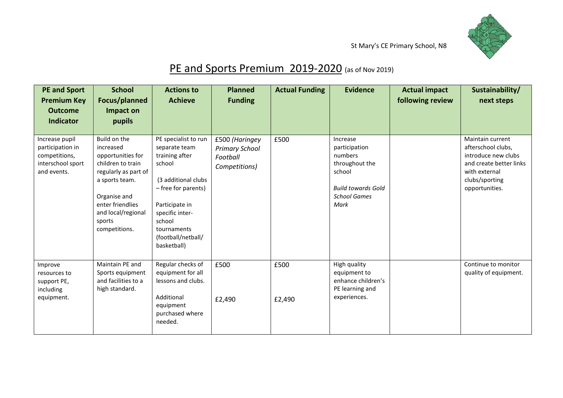

## PE and Sports Premium 2019-2020 (as of Nov 2019)

| <b>PE and Sport</b><br><b>Premium Key</b><br><b>Outcome</b><br>Indicator                | <b>School</b><br>Focus/planned<br>Impact on<br>pupils                                                                                                                                              | <b>Actions to</b><br><b>Achieve</b>                                                                                                                                                                                | <b>Planned</b><br><b>Funding</b>                                     | <b>Actual Funding</b> | <b>Evidence</b>                                                                                                              | <b>Actual impact</b><br>following review | Sustainability/<br>next steps                                                                                                                 |
|-----------------------------------------------------------------------------------------|----------------------------------------------------------------------------------------------------------------------------------------------------------------------------------------------------|--------------------------------------------------------------------------------------------------------------------------------------------------------------------------------------------------------------------|----------------------------------------------------------------------|-----------------------|------------------------------------------------------------------------------------------------------------------------------|------------------------------------------|-----------------------------------------------------------------------------------------------------------------------------------------------|
| Increase pupil<br>participation in<br>competitions,<br>interschool sport<br>and events. | Build on the<br>increased<br>opportunities for<br>children to train<br>regularly as part of<br>a sports team.<br>Organise and<br>enter friendlies<br>and local/regional<br>sports<br>competitions. | PE specialist to run<br>separate team<br>training after<br>school<br>(3 additional clubs<br>- free for parents)<br>Participate in<br>specific inter-<br>school<br>tournaments<br>(football/netball/<br>basketball) | £500 (Haringey<br><b>Primary School</b><br>Football<br>Competitions) | £500                  | Increase<br>participation<br>numbers<br>throughout the<br>school<br><b>Build towards Gold</b><br><b>School Games</b><br>Mark |                                          | Maintain current<br>afterschool clubs,<br>introduce new clubs<br>and create better links<br>with external<br>clubs/sporting<br>opportunities. |
| Improve<br>resources to<br>support PE,<br>including<br>equipment.                       | Maintain PE and<br>Sports equipment<br>and facilities to a<br>high standard.                                                                                                                       | Regular checks of<br>equipment for all<br>lessons and clubs.<br>Additional<br>equipment<br>purchased where<br>needed.                                                                                              | £500<br>£2,490                                                       | £500<br>£2,490        | High quality<br>equipment to<br>enhance children's<br>PE learning and<br>experiences.                                        |                                          | Continue to monitor<br>quality of equipment.                                                                                                  |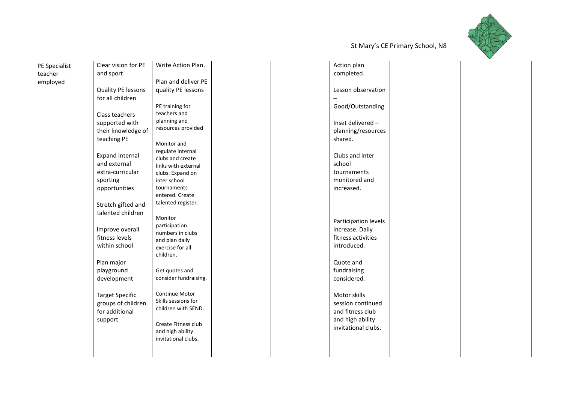

| PE Specialist | Clear vision for PE       | Write Action Plan.                    | Action plan          |  |
|---------------|---------------------------|---------------------------------------|----------------------|--|
| teacher       | and sport                 |                                       | completed.           |  |
| employed      |                           | Plan and deliver PE                   |                      |  |
|               | <b>Quality PE lessons</b> | quality PE lessons                    | Lesson observation   |  |
|               | for all children          |                                       |                      |  |
|               |                           | PE training for                       | Good/Outstanding     |  |
|               | Class teachers            | teachers and                          |                      |  |
|               | supported with            | planning and                          | Inset delivered -    |  |
|               | their knowledge of        | resources provided                    | planning/resources   |  |
|               | teaching PE               |                                       | shared.              |  |
|               |                           | Monitor and                           |                      |  |
|               | Expand internal           | regulate internal<br>clubs and create | Clubs and inter      |  |
|               | and external              | links with external                   | school               |  |
|               | extra-curricular          | clubs. Expand on                      | tournaments          |  |
|               | sporting                  | inter school                          | monitored and        |  |
|               | opportunities             | tournaments                           | increased.           |  |
|               |                           | entered. Create                       |                      |  |
|               | Stretch gifted and        | talented register.                    |                      |  |
|               | talented children         |                                       |                      |  |
|               |                           | Monitor                               | Participation levels |  |
|               | Improve overall           | participation                         | increase. Daily      |  |
|               | fitness levels            | numbers in clubs<br>and plan daily    | fitness activities   |  |
|               | within school             | exercise for all                      | introduced.          |  |
|               |                           | children.                             |                      |  |
|               | Plan major                |                                       | Quote and            |  |
|               | playground                | Get quotes and                        | fundraising          |  |
|               | development               | consider fundraising.                 | considered.          |  |
|               |                           |                                       |                      |  |
|               | <b>Target Specific</b>    | Continue Motor                        | Motor skills         |  |
|               | groups of children        | Skills sessions for                   | session continued    |  |
|               | for additional            | children with SEND.                   | and fitness club     |  |
|               | support                   |                                       | and high ability     |  |
|               |                           | Create Fitness club                   | invitational clubs.  |  |
|               |                           | and high ability                      |                      |  |
|               |                           | invitational clubs.                   |                      |  |
|               |                           |                                       |                      |  |
|               |                           |                                       |                      |  |